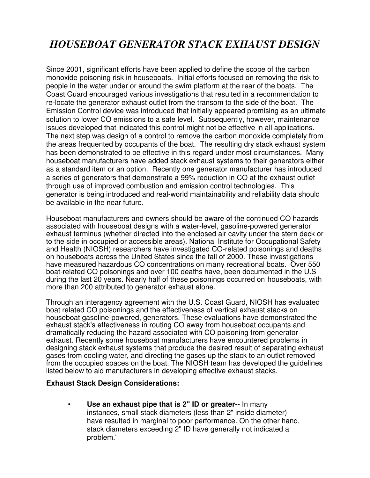## *HOUSEBOAT GENERATOR STACK EXHAUST DESIGN*

Since 2001, significant efforts have been applied to define the scope of the carbon monoxide poisoning risk in houseboats. Initial efforts focused on removing the risk to people in the water under or around the swim platform at the rear of the boats. The Coast Guard encouraged various investigations that resulted in a recommendation to re-locate the generator exhaust outlet from the transom to the side of the boat. The Emission Control device was introduced that initially appeared promising as an ultimate solution to lower CO emissions to a safe level. Subsequently, however, maintenance issues developed that indicated this control might not be effective in all applications. The next step was design of a control to remove the carbon monoxide completely from the areas frequented by occupants of the boat. The resulting dry stack exhaust system has been demonstrated to be effective in this regard under most circumstances. Many houseboat manufacturers have added stack exhaust systems to their generators either as a standard item or an option. Recently one generator manufacturer has introduced a series of generators that demonstrate a 99% reduction in CO at the exhaust outlet through use of improved combustion and emission control technologies. This generator is being introduced and real-world maintainability and reliability data should be available in the near future.

Houseboat manufacturers and owners should be aware of the continued CO hazards associated with houseboat designs with a water-level, gasoline-powered generator exhaust terminus (whether directed into the enclosed air cavity under the stern deck or to the side in occupied or accessible areas). National Institute for Occupational Safety and Health (NIOSH) researchers have investigated CO-related poisonings and deaths on houseboats across the United States since the fall of 2000. These investigations have measured hazardous CO concentrations on many recreational boats. Over 550 boat-related CO poisonings and over 100 deaths have, been documented in the U.S during the last 20 years. Nearly half of these poisonings occurred on houseboats, with more than 200 attributed to generator exhaust alone.

Through an interagency agreement with the U.S. Coast Guard, NIOSH has evaluated boat related CO poisonings and the effectiveness of vertical exhaust stacks on houseboat gasoline-powered, generators. These evaluations have demonstrated the exhaust stack's effectiveness in routing CO away from houseboat occupants and dramatically reducing the hazard associated with CO poisoning from generator exhaust. Recently some houseboat manufacturers have encountered problems in designing stack exhaust systems that produce the desired result of separating exhaust gases from cooling water, and directing the gases up the stack to an outlet removed from the occupied spaces on the boat. The NIOSH team has developed the guidelines listed below to aid manufacturers in developing effective exhaust stacks.

## **Exhaust Stack Design Considerations:**

• **Use an exhaust pipe that is 2" ID or greater--** In many instances, small stack diameters (less than 2" inside diameter) have resulted in marginal to poor performance. On the other hand, stack diameters exceeding 2" ID have generally not indicated a problem.'